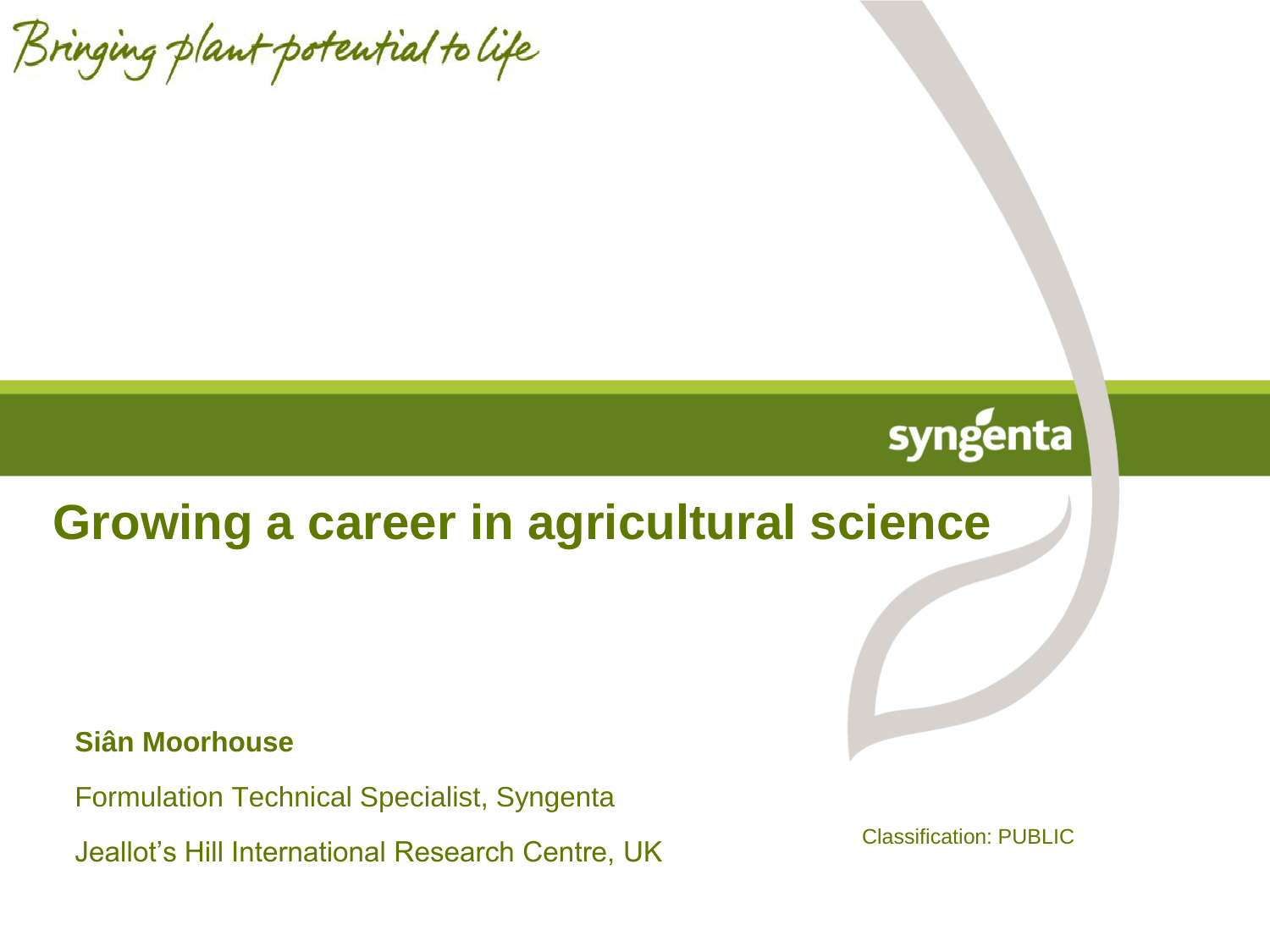Bringing plant potential to life

# syngenta

# **Growing a career in agricultural science**

#### **Siân Moorhouse**

Formulation Technical Specialist, Syngenta

Jeallot's Hill International Research Centre, UK

Classification: PUBLIC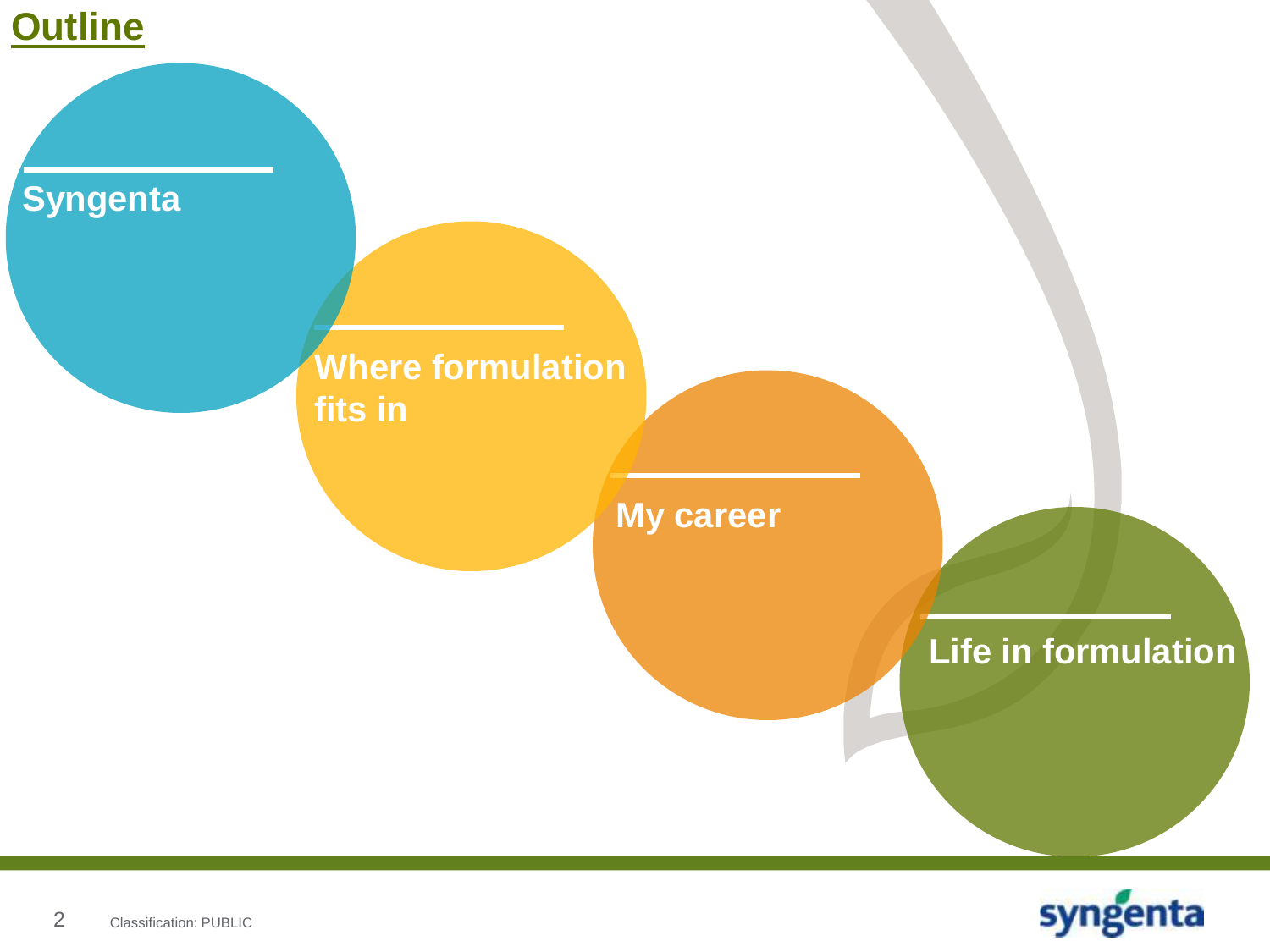

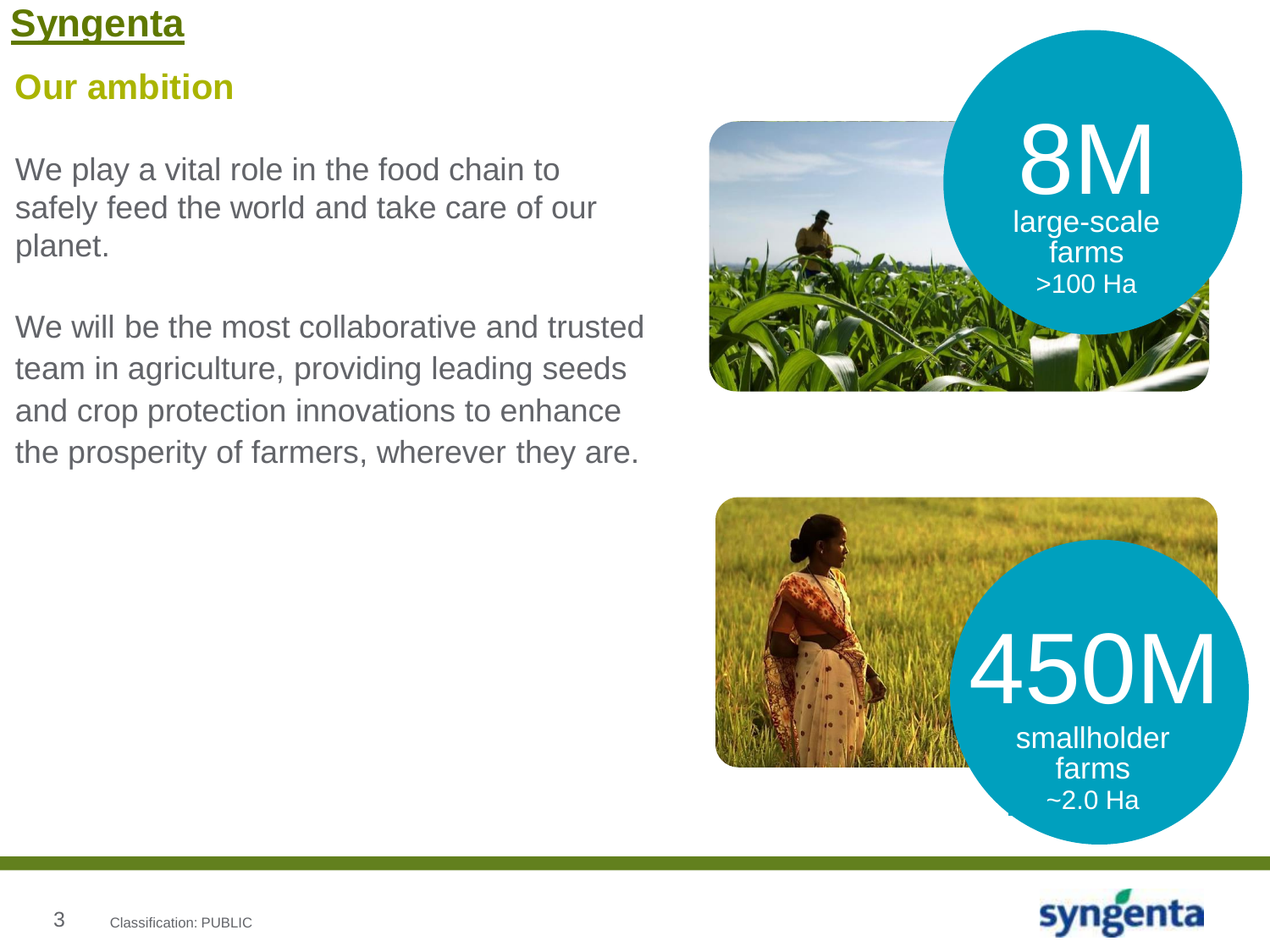# **Our ambition**

We play a vital role in the food chain to safely feed the world and take care of our planet.

We will be the most collaborative and trusted team in agriculture, providing leading seeds and crop protection innovations to enhance the prosperity of farmers, wherever they are.





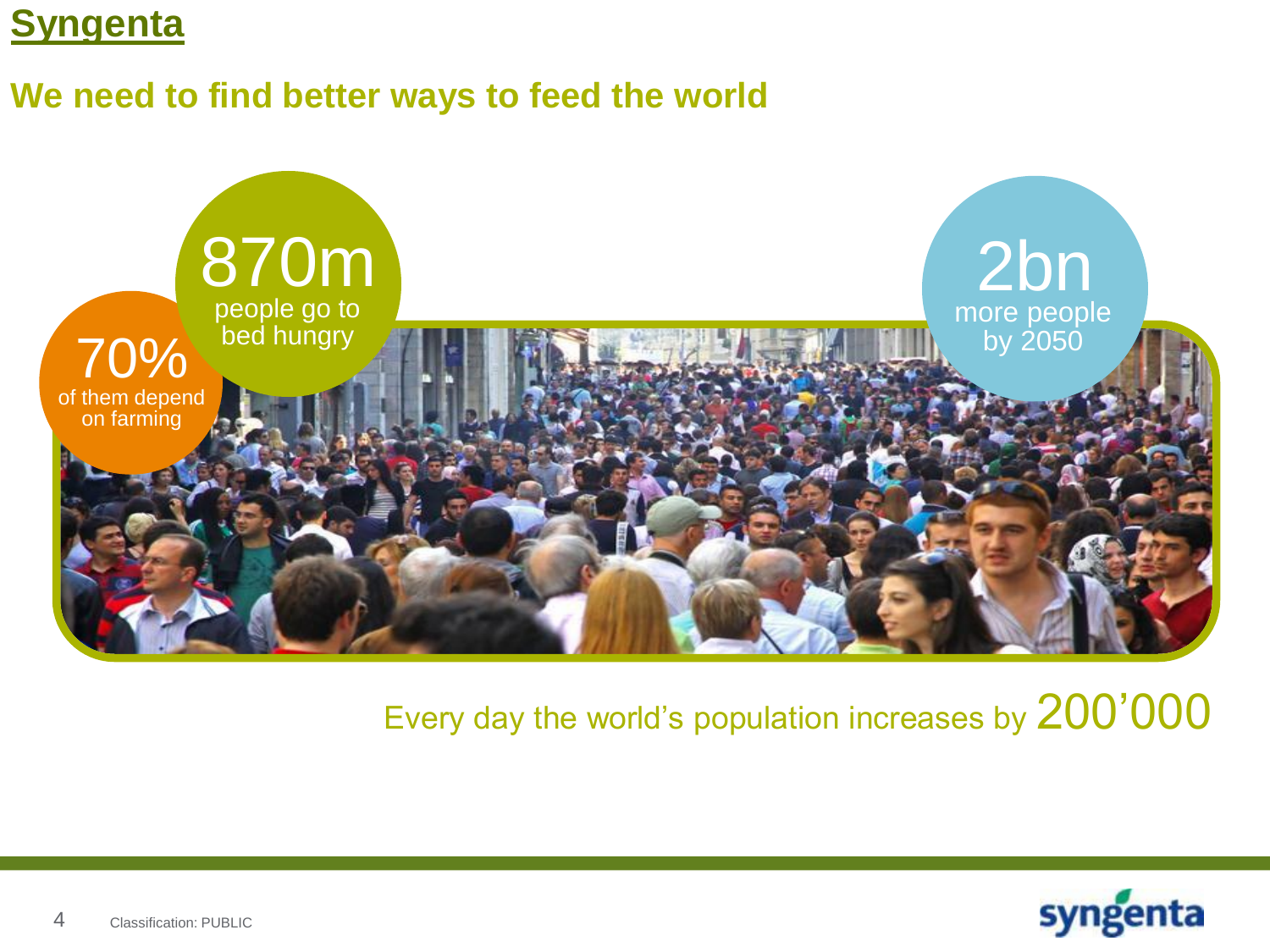### **We need to find better ways to feed the world**



# Every day the world's population increases by 200'000

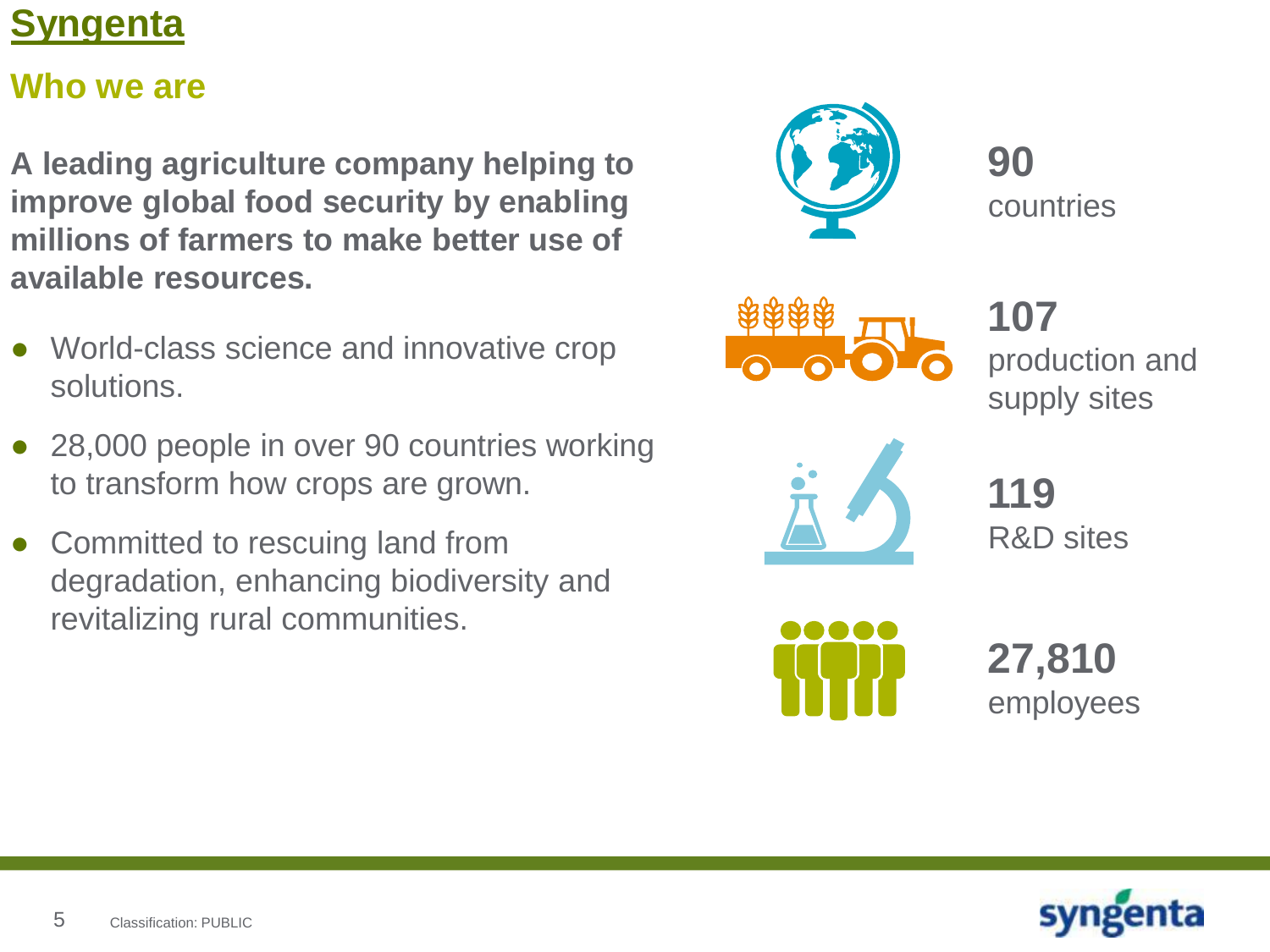### **Who we are**

**A leading agriculture company helping to improve global food security by enabling millions of farmers to make better use of available resources.** 

- World-class science and innovative crop solutions.
- 28,000 people in over 90 countries working to transform how crops are grown.
- Committed to rescuing land from degradation, enhancing biodiversity and revitalizing rural communities.



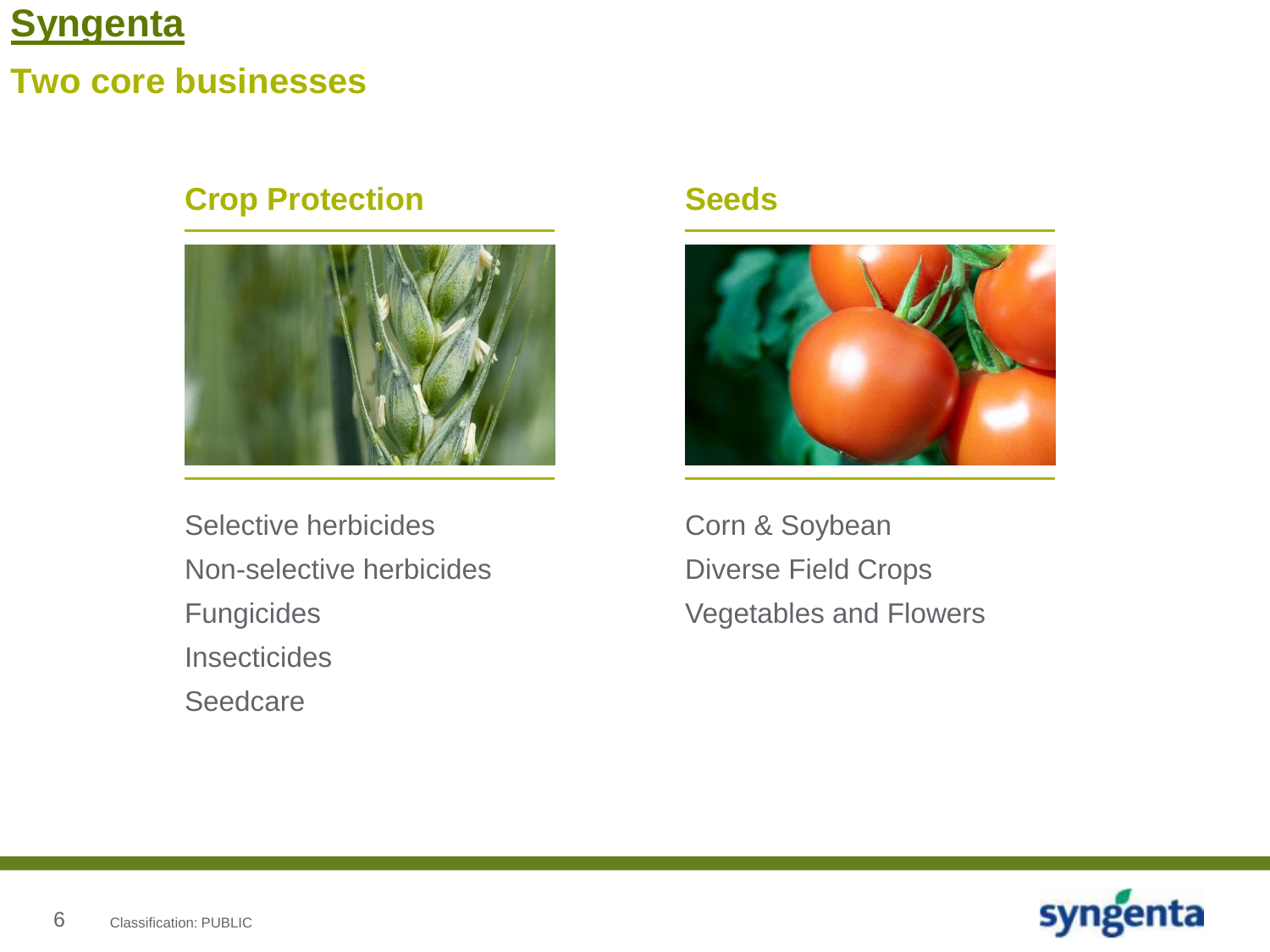### **Two core businesses**

### **Crop Protection**



Selective herbicides Non-selective herbicides Fungicides **Insecticides Seedcare** 

#### **Seeds**



Corn & Soybean Diverse Field Crops Vegetables and Flowers

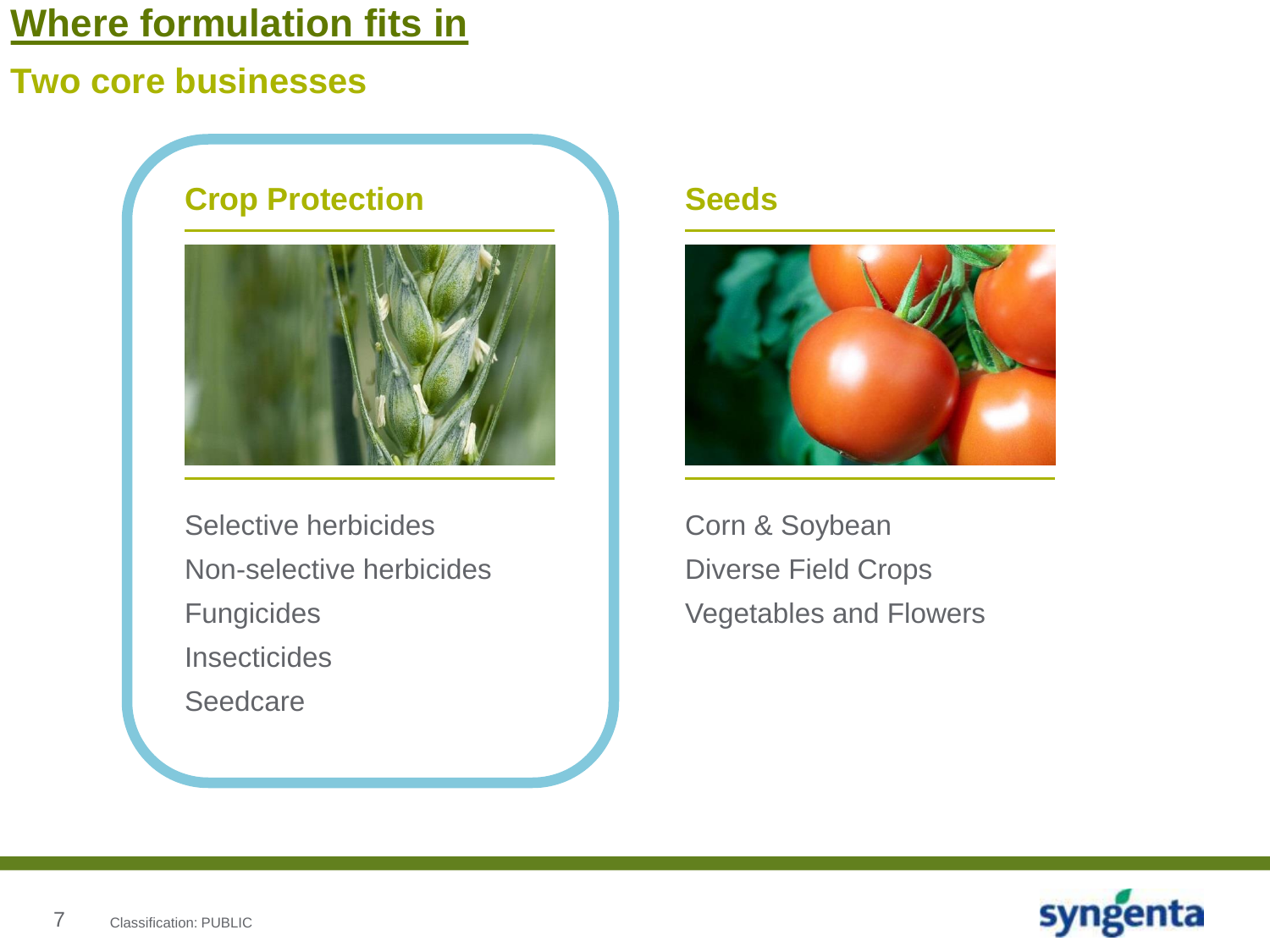### **Two core businesses**



Selective herbicides Non-selective herbicides Fungicides **Insecticides** Seedcare

#### **Seeds**



Corn & Soybean Diverse Field Crops Vegetables and Flowers

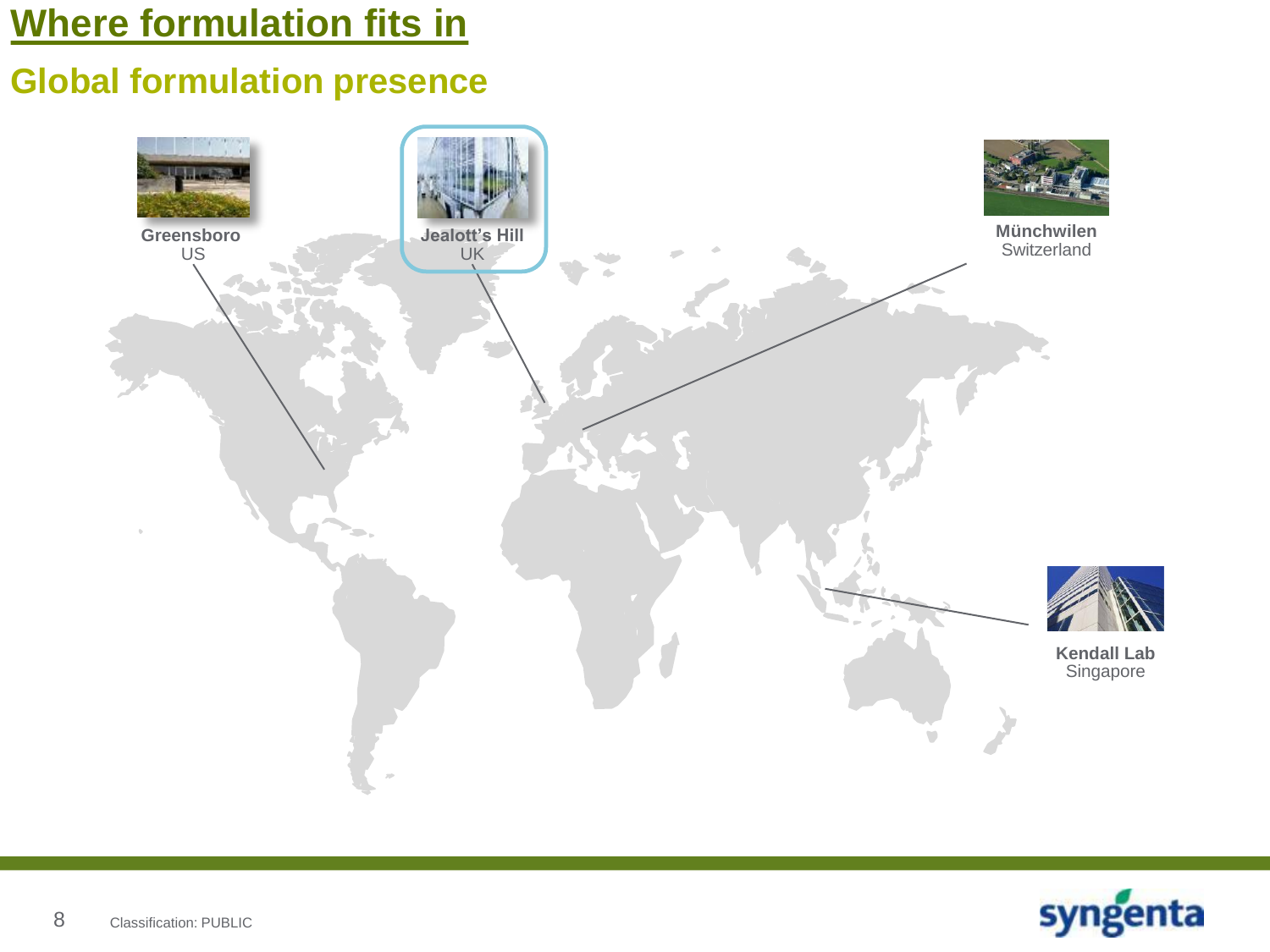### **Global formulation presence**



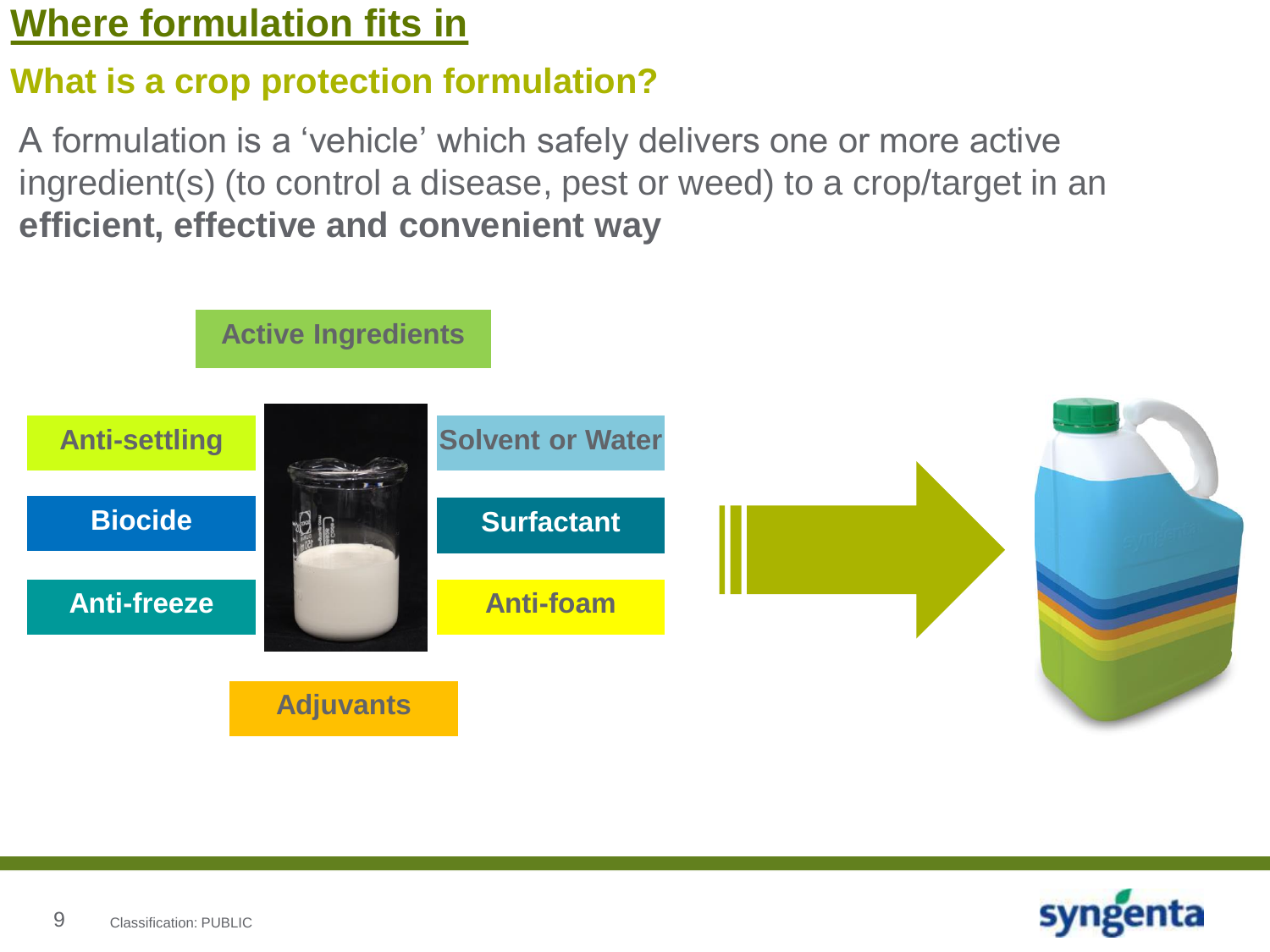### **What is a crop protection formulation?**

A formulation is a 'vehicle' which safely delivers one or more active ingredient(s) (to control a disease, pest or weed) to a crop/target in an **efficient, effective and convenient way**



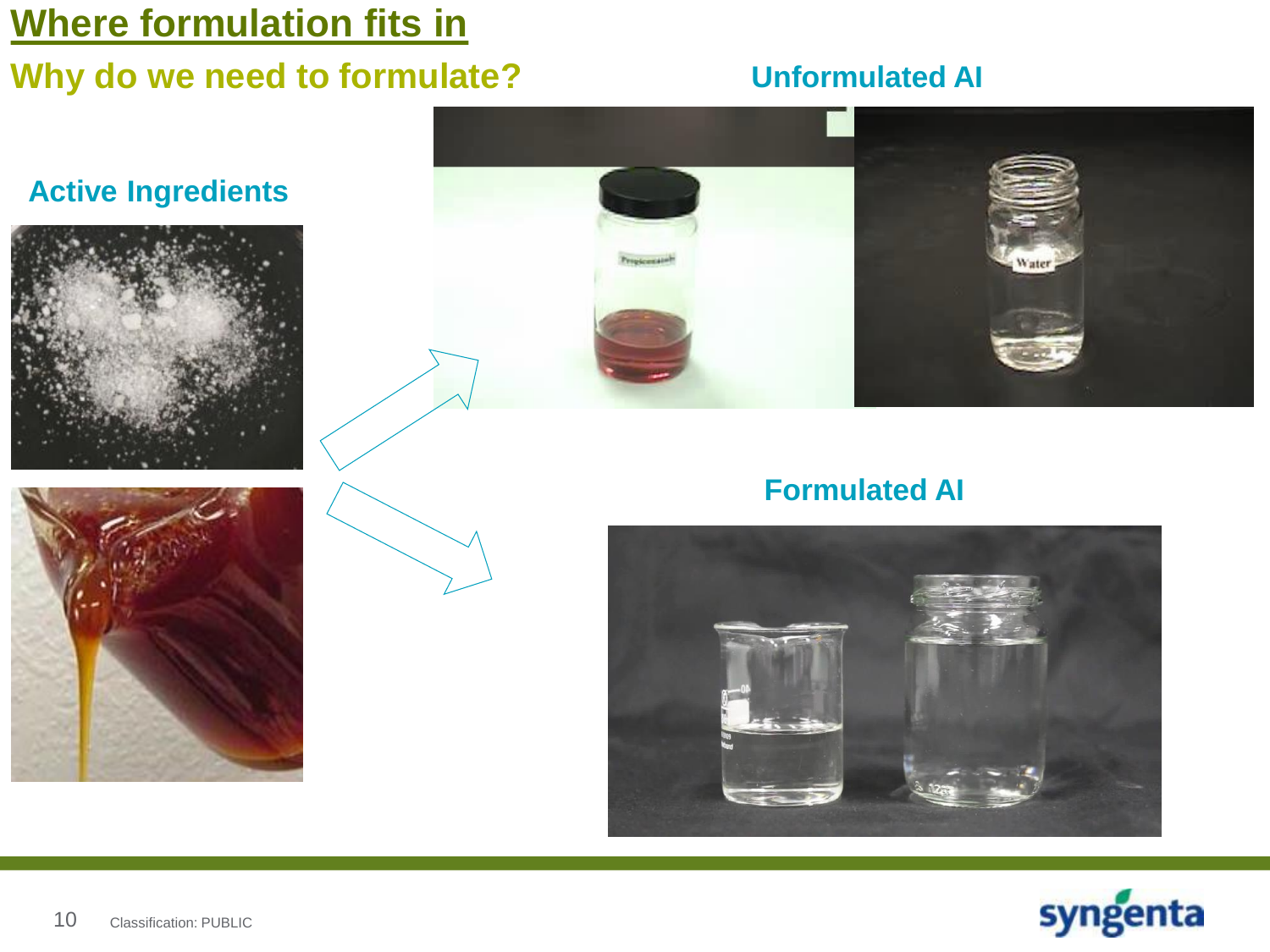# **Why do we need to formulate?**

#### **Unformulated AI**







### **Formulated AI**







10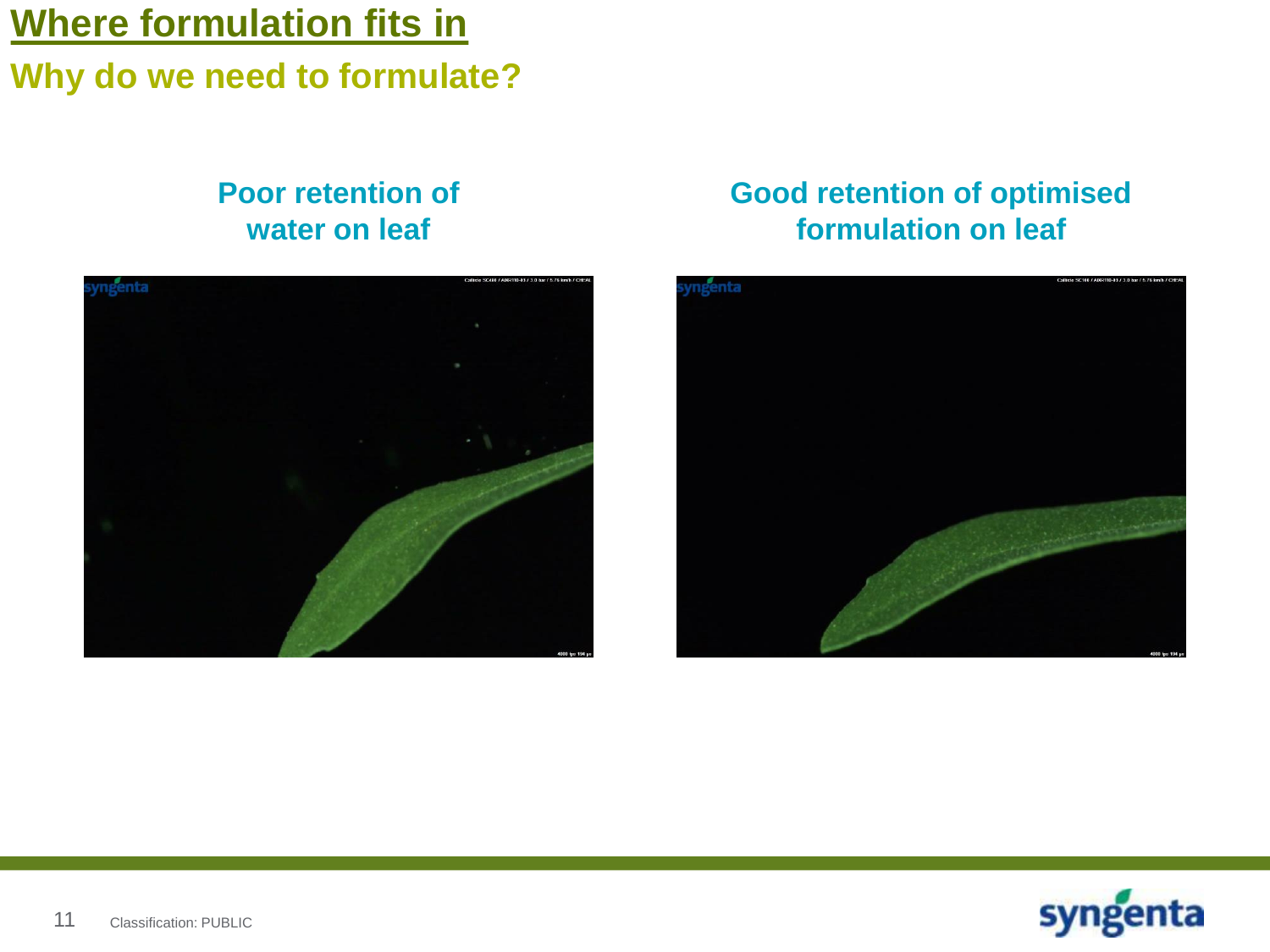### **Why do we need to formulate?**

#### **Poor retention of water on leaf**



### **Good retention of optimised formulation on leaf**



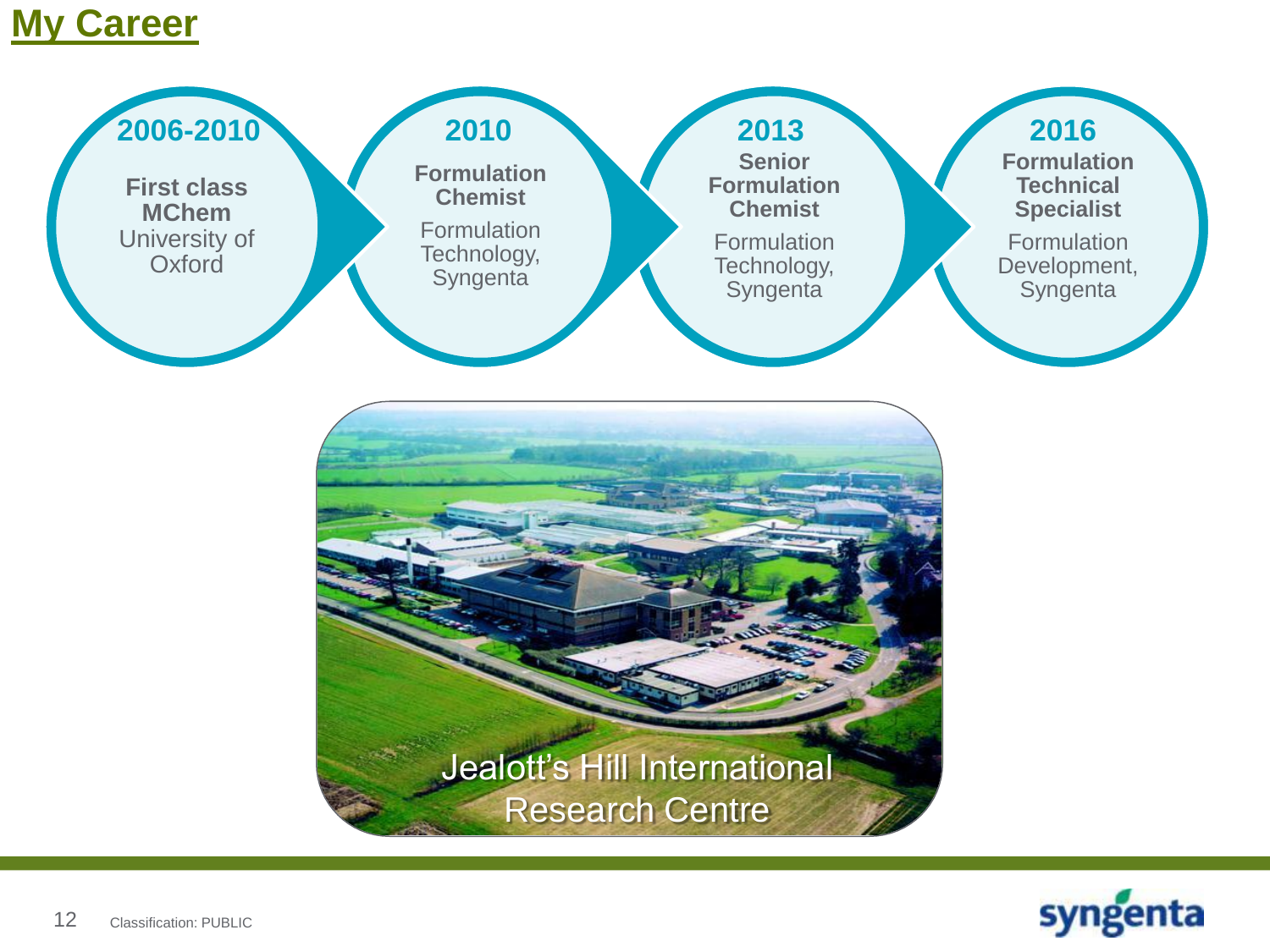### **My Career**



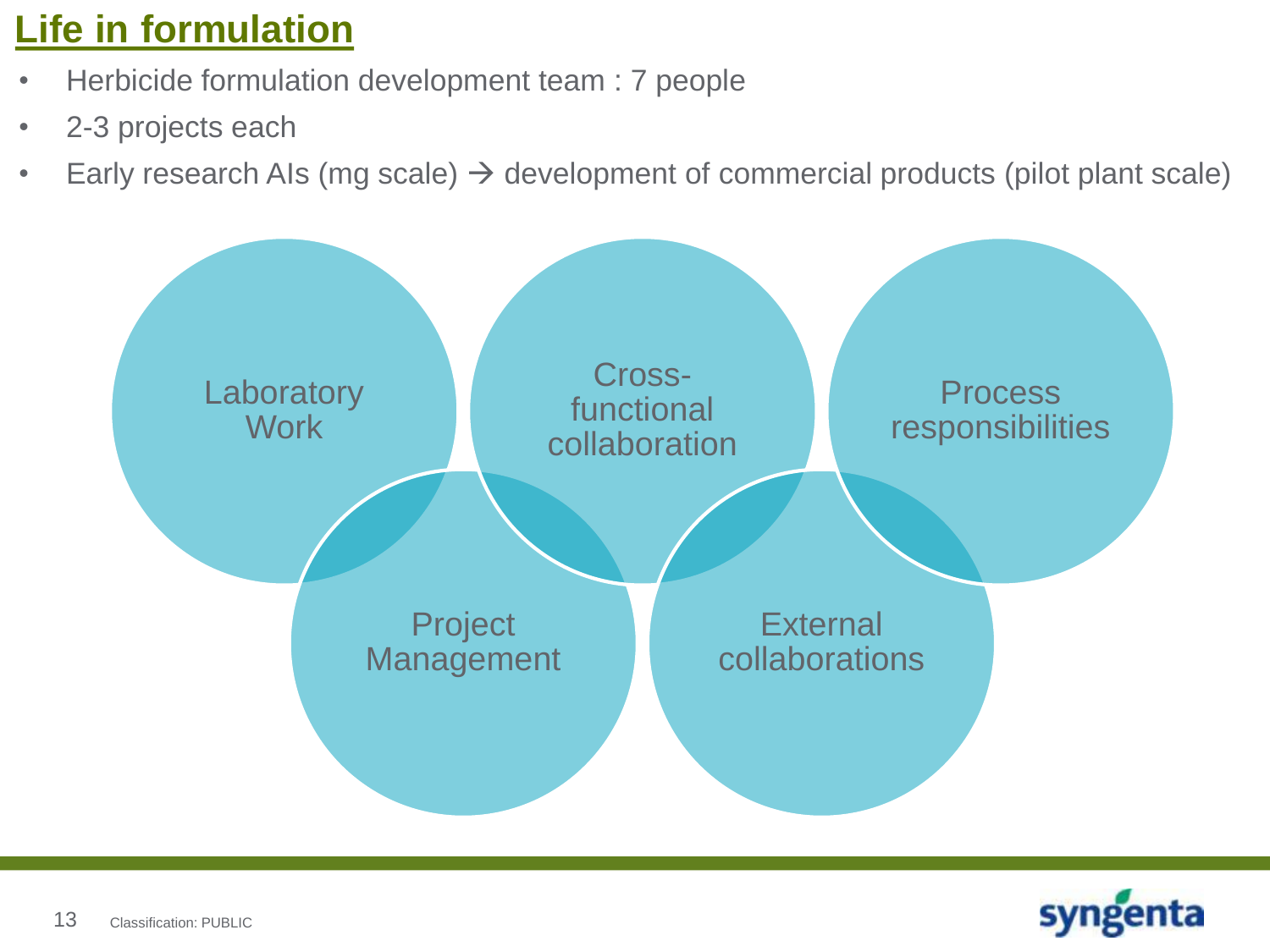# **Life in formulation**

- Herbicide formulation development team : 7 people
- 2-3 projects each
- Early research AIs (mg scale)  $\rightarrow$  development of commercial products (pilot plant scale)



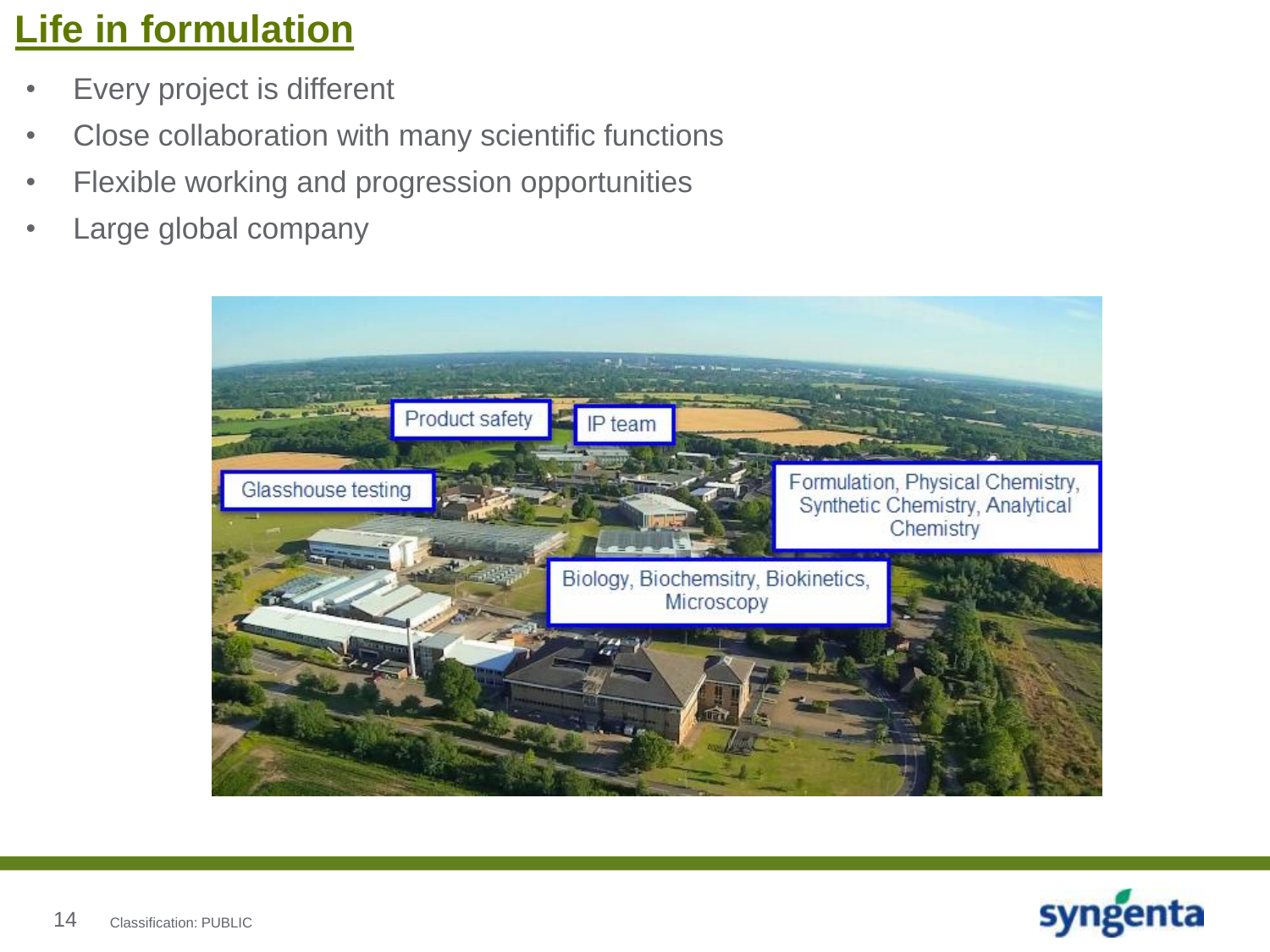# **Life in formulation**

- Every project is different
- Close collaboration with many scientific functions
- Flexible working and progression opportunities
- Large global company